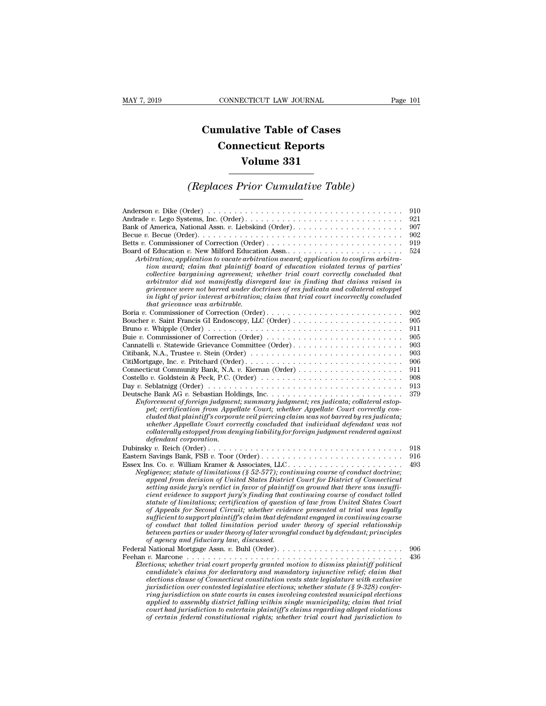## **CONNECTICUT LAW JOURNAL**<br> **Cumulative Table of Cases<br>
Connecticut Reports CONNECTICUT LAW JOURNAL**<br> **CONNECTICUT LAW JOURNAL**<br> **CONNECTICUT Reports<br>
Volume 331** ECTICUT LAW JOURNAL<br> **Volume 331**<br> **Volume 331**<br> **Volume 331**<br> **Volume 231** *Cumulative Table of Cases*<br> *Connecticut Reports*<br> *Volume 331*<br> *(Replaces Prior Cumulative Table)*

| Volume 331                                                                                                                                                                                                                                                                                                                                                                                                                                                                                                                                                                                                                                                                                                                                                                                                                                                                                                                                                                                                                                                                                                                                                                                                                       |                                                                           |
|----------------------------------------------------------------------------------------------------------------------------------------------------------------------------------------------------------------------------------------------------------------------------------------------------------------------------------------------------------------------------------------------------------------------------------------------------------------------------------------------------------------------------------------------------------------------------------------------------------------------------------------------------------------------------------------------------------------------------------------------------------------------------------------------------------------------------------------------------------------------------------------------------------------------------------------------------------------------------------------------------------------------------------------------------------------------------------------------------------------------------------------------------------------------------------------------------------------------------------|---------------------------------------------------------------------------|
| <i>(Replaces Prior Cumulative Table)</i>                                                                                                                                                                                                                                                                                                                                                                                                                                                                                                                                                                                                                                                                                                                                                                                                                                                                                                                                                                                                                                                                                                                                                                                         |                                                                           |
| Anderson v. Dike (Order) $\dots \dots \dots \dots \dots \dots \dots \dots \dots \dots \dots \dots \dots \dots \dots$<br>Betts v. Commissioner of Correction (Order)<br>Arbitration; application to vacate arbitration award; application to confirm arbitra-<br>tion award; claim that plaintiff board of education violated terms of parties'<br>collective bargaining agreement; whether trial court correctly concluded that<br>arbitrator did not manifestly disregard law in finding that claims raised in<br>grievance were not barred under doctrines of res judicata and collateral estoppel<br>in light of prior interest arbitration; claim that trial court incorrectly concluded                                                                                                                                                                                                                                                                                                                                                                                                                                                                                                                                     | 910<br>921<br>907<br>902<br>919<br>524                                    |
| that grievance was arbitrable.<br>Boria v. Commissioner of Correction (Order)<br>Buie v. Commissioner of Correction (Order)<br>Cannatelli v. Statewide Grievance Committee (Order)<br>Citibank, N.A., Trustee v. Stein (Order) $\ldots \ldots \ldots \ldots \ldots \ldots \ldots \ldots \ldots \ldots$<br>Costello v. Goldstein & Peck, P.C. (Order) $\ldots \ldots \ldots \ldots \ldots \ldots \ldots \ldots \ldots \ldots$<br>Day v. Seblatnigg (Order) $\dots \dots \dots \dots \dots \dots \dots \dots \dots \dots \dots \dots \dots \dots \dots$<br>Enforcement of foreign judgment; summary judgment; res judicata; collateral estop-<br>pel; certification from Appellate Court; whether Appellate Court correctly con-<br>cluded that plaintiff's corporate veil piercing claim was not barred by res judicata;<br>whether Appellate Court correctly concluded that individual defendant was not<br>collaterally estopped from denying liability for foreign judgment rendered against                                                                                                                                                                                                                                   | 902<br>905<br>911<br>905<br>903<br>903<br>906<br>911<br>908<br>913<br>379 |
| defendant corporation.<br>Eastern Savings Bank, FSB v. Toor (Order)<br>Essex Ins. Co. v. William Kramer & Associates, LLC<br>Negligence; statute of limitations ( $\S 52-577$ ); continuing course of conduct doctrine;<br>appeal from decision of United States District Court for District of Connecticut<br>setting aside jury's verdict in favor of plaintiff on ground that there was insuffi-<br>cient evidence to support jury's finding that continuing course of conduct tolled<br>statute of limitations; certification of question of law from United States Court<br>of Appeals for Second Circuit; whether evidence presented at trial was legally<br>sufficient to support plaintiff's claim that defendant engaged in continuing course<br>of conduct that tolled limitation period under theory of special relationship<br>between parties or under theory of later wrongful conduct by defendant; principles<br>of agency and fiduciary law, discussed.<br>Federal National Mortgage Assn. v. Buhl (Order)<br>Feehan v. Marcone<br>.<br>Elections; whether trial court properly granted motion to dismiss plaintiff political<br>candidate's claims for declaratory and mandatory injunctive relief; claim that | 918<br>916<br>493<br>906<br>436                                           |
| elections clause of Connecticut constitution vests state legislature with exclusive<br>jurisdiction over contested legislative elections; whether statute $(\S 9-328)$ confer-<br>ring jurisdiction on state courts in cases involving contested municipal elections<br>applied to assembly district falling within single municipality; claim that trial<br>court had jurisdiction to entertain plaintiff's claims regarding alleged violations<br>of certain federal constitutional rights; whether trial court had jurisdiction to                                                                                                                                                                                                                                                                                                                                                                                                                                                                                                                                                                                                                                                                                            |                                                                           |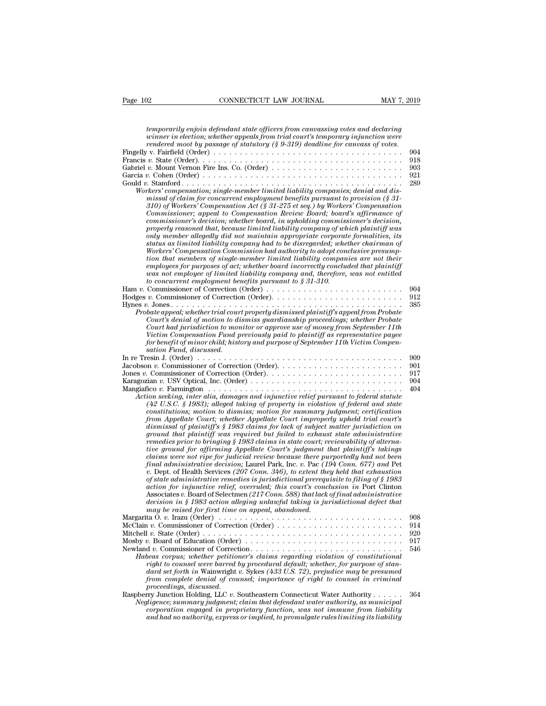| Page 102<br>CONNECTICUT LAW JOURNAL                                                                                                                                                                                                                                                                                                                                                                                                                                                                                                                                                                                                                                                                                                                                                                                                                                                                                                                                                                                                                                                                                                                                                                                                                                                                                                                                        | MAY 7, 2019       |
|----------------------------------------------------------------------------------------------------------------------------------------------------------------------------------------------------------------------------------------------------------------------------------------------------------------------------------------------------------------------------------------------------------------------------------------------------------------------------------------------------------------------------------------------------------------------------------------------------------------------------------------------------------------------------------------------------------------------------------------------------------------------------------------------------------------------------------------------------------------------------------------------------------------------------------------------------------------------------------------------------------------------------------------------------------------------------------------------------------------------------------------------------------------------------------------------------------------------------------------------------------------------------------------------------------------------------------------------------------------------------|-------------------|
|                                                                                                                                                                                                                                                                                                                                                                                                                                                                                                                                                                                                                                                                                                                                                                                                                                                                                                                                                                                                                                                                                                                                                                                                                                                                                                                                                                            |                   |
| temporarily enjoin defendant state officers from canvassing votes and declaring<br>winner in election; whether appeals from trial court's temporary injunction were<br>rendered moot by passage of statutory $(§ 9-319)$ deadline for canvass of votes.                                                                                                                                                                                                                                                                                                                                                                                                                                                                                                                                                                                                                                                                                                                                                                                                                                                                                                                                                                                                                                                                                                                    | 904<br>918        |
| Workers' compensation; single-member limited liability companies; denial and dis-<br>missal of claim for concurrent employment benefits pursuant to provision $(\S 31 -$<br>310) of Workers' Compensation Act (§ 31-275 et seq.) by Workers' Compensation<br>Commissioner; appeal to Compensation Review Board; board's affirmance of<br>commissioner's decision; whether board, in upholding commissioner's decision,<br>properly reasoned that, because limited liability company of which plaintiff was<br>only member allegedly did not maintain appropriate corporate formalities, its<br>status as limited liability company had to be disregarded; whether chairman of<br>Workers' Compensation Commission had authority to adopt conclusive presump-<br>tion that members of single-member limited liability companies are not their<br>employees for purposes of act; whether board incorrectly concluded that plaintiff<br>was not employee of limited liability company and, therefore, was not entitled<br>to concurrent employment benefits pursuant to $\S 31-310$ .                                                                                                                                                                                                                                                                                         | 903<br>921<br>289 |
| Ham v. Commissioner of Correction (Order) $\dots \dots \dots \dots \dots \dots \dots \dots \dots \dots$                                                                                                                                                                                                                                                                                                                                                                                                                                                                                                                                                                                                                                                                                                                                                                                                                                                                                                                                                                                                                                                                                                                                                                                                                                                                    | 904<br>912<br>385 |
| Probate appeal; whether trial court properly dismissed plaintiff's appeal from Probate<br>Court's denial of motion to dismiss quardianship proceedings; whether Probate<br>Court had jurisdiction to monitor or approve use of money from September 11th<br>Victim Compensation Fund previously paid to plaintiff as representative payee<br>for benefit of minor child; history and purpose of September 11th Victim Compen-<br>sation Fund, discussed.                                                                                                                                                                                                                                                                                                                                                                                                                                                                                                                                                                                                                                                                                                                                                                                                                                                                                                                   |                   |
| Jacobson v. Commissioner of Correction (Order)                                                                                                                                                                                                                                                                                                                                                                                                                                                                                                                                                                                                                                                                                                                                                                                                                                                                                                                                                                                                                                                                                                                                                                                                                                                                                                                             | 909<br>901        |
|                                                                                                                                                                                                                                                                                                                                                                                                                                                                                                                                                                                                                                                                                                                                                                                                                                                                                                                                                                                                                                                                                                                                                                                                                                                                                                                                                                            | 917               |
|                                                                                                                                                                                                                                                                                                                                                                                                                                                                                                                                                                                                                                                                                                                                                                                                                                                                                                                                                                                                                                                                                                                                                                                                                                                                                                                                                                            | 904               |
| Action seeking, inter alia, damages and injunctive relief pursuant to federal statute<br>$(42 \text{ U.S.C. } § 1983)$ ; alleged taking of property in violation of federal and state<br>constitutions; motion to dismiss; motion for summary judgment; certification<br>from Appellate Court; whether Appellate Court improperly upheld trial court's<br>dismissal of plaintiff's § 1983 claims for lack of subject matter jurisdiction on<br>ground that plaintiff was required but failed to exhaust state administrative<br>remedies prior to bringing § 1983 claims in state court; reviewability of alterna-<br>tive ground for affirming Appellate Court's judgment that plaintiff's takings<br>claims were not ripe for judicial review because there purportedly had not been<br>final administrative decision; Laurel Park, Inc. v. Pac (194 Conn. 677) and Pet<br>v. Dept. of Health Services (207 Conn. 346), to extent they held that exhaustion<br>of state administrative remedies is jurisdictional prerequisite to filing of $§$ 1983<br>action for injunctive relief, overruled; this court's conclusion in Port Clinton<br>Associates v. Board of Selectmen (217 Conn. 588) that lack of final administrative<br>decision in § 1983 action alleging unlawful taking is jurisdictional defect that<br>may be raised for first time on appeal, abandoned. | 404               |
| Margarita O. v. Irazu (Order) $\ldots \ldots \ldots \ldots \ldots \ldots \ldots \ldots \ldots \ldots \ldots \ldots \ldots$                                                                                                                                                                                                                                                                                                                                                                                                                                                                                                                                                                                                                                                                                                                                                                                                                                                                                                                                                                                                                                                                                                                                                                                                                                                 | 908<br>914        |
| McClain v. Commissioner of Correction (Order)                                                                                                                                                                                                                                                                                                                                                                                                                                                                                                                                                                                                                                                                                                                                                                                                                                                                                                                                                                                                                                                                                                                                                                                                                                                                                                                              | 920               |
| Mosby v. Board of Education (Order) $\dots \dots \dots \dots \dots \dots \dots \dots \dots \dots \dots \dots$<br>Habeas corpus; whether petitioner's claims regarding violation of constitutional<br>right to counsel were barred by procedural default; whether, for purpose of stan-<br>dard set forth in Wainwright v. Sykes (433 U.S. 72), prejudice may be presumed<br>from complete denial of counsel; importance of right to counsel in criminal                                                                                                                                                                                                                                                                                                                                                                                                                                                                                                                                                                                                                                                                                                                                                                                                                                                                                                                    | 917<br>546        |
| proceedings, discussed.<br>Raspberry Junction Holding, LLC $v$ . Southeastern Connecticut Water Authority<br>Negligence; summary judgment; claim that defendant water authority, as municipal<br>corporation engaged in proprietary function, was not immune from liability<br>and had no authority, express or implied, to promulgate rules limiting its liability                                                                                                                                                                                                                                                                                                                                                                                                                                                                                                                                                                                                                                                                                                                                                                                                                                                                                                                                                                                                        | 364               |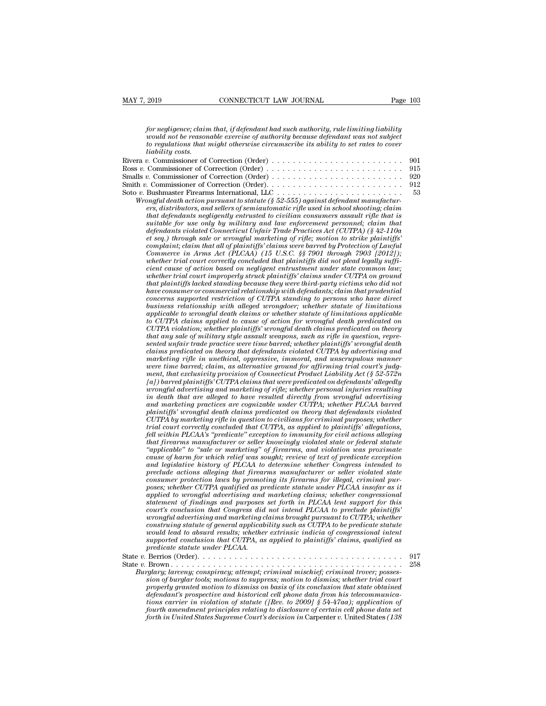*for negligence; claim that, if defendant had such authority, rule limiting liability*<br>*for negligence; claim that, if defendant had such authority, rule limiting liability*<br>*would not be reasonable exercise of authority b would more commeter commeter commeter commeter commeter and such authority, rule limiting liability*<br>*would not be reasonable exercise of authority because defendant was not subject*<br>*to regulations that might otherwise c to regligence; claim that, if defendant had such authority, rule limiting liability*<br>for *negligence; claim that, if defendant had such authority, rule limiting liability*<br>*to regulations that might otherwise circumscribe* 2019<br>*for negligence; claim*<br>*would not be reason*<br>*to regulations that i*<br>*commissioner of*<br>*c*. Commissioner of for negligence; claim that, if defendant had such authority, rule limiting liability<br>would not be reasonable exercise of authority because defendant was not subject<br>to regulations that might otherwise circumscribe its abil for negligence; claim that, if defendant had such authority, rule limiting liability<br>would not be reasonable exercise of authority because defendant was not subject<br>to regulations that might otherwise circumscribe its abil for negligence; claim that, if defendant had such authority, rule limiting liability<br>would not be reasonable exercise of authority because defendant was not subject<br>to regulations that might otherwise circumscribe its abil *vould not be reasonable exercise of authority because defendant was not subject*<br>to regulations that might otherwise circumscribe its ability to set rates to cover<br>liability costs.<br>Rivera v. Commissioner of Correction (Or to *vegulations that might otherwise circumscribe its ability to set rates to cover*<br>
lability costs.<br>
Rivera v. Commissioner of Correction (Order)<br>
Ross v. Commissioner of Correction (Order)<br>
Smalls v. Commissioner of Cor *Wrongful death action pursuant to statute (§ 52-555) against defendant manufacturies (Statute defendant manufacturies (§ 72-555) against defendant manufacturies, ads relation pursuant to statute (§ 52-555) against defenda ers* commissioner of Correction (Order)<br> *e.* Commissioner of Correction (Order)<br> *e.* Commissioner of Correction (Order)<br> *e.* Commissioner of Correction (Order)<br> *e.* Commissioner of Correction (Order)<br> *e.* Sample deat *that defendants of Correction (Order)*<br> *that defendants of Correction (Order)*<br> *that defendants negligently entrusted in school shooting; claim*<br> *that defendants negligently entrusted to civilian consumers assault rifl suitable for use only by military and law enforcement personnelisioner of Correction (Order)*<br> *sume is commissioner of Correction (Order)*<br> *sume and law enforcement personnelision, and sellers of semiautomatic rifle use defendants in correction (order)*<br> *definition connection (order)*<br> *deshmaster Firerarms international, LLC*<br> *defendant manufacturers, distributors, and sellers of semiautomatic rifle used in school shooting, claim<br>
tha et seq.) through sale or wrongful marketing of rifle; motion to strike plaintiffs' complaint in that all of plaintiffs'* claims were barred to statute ( $\delta$  52-555) against defendant manufacturers, distributors, and sellers of semiautomatic rifle used in school shooting; claim that defendants negligentl *Commerce in Arms Act (PLCAA)* (15 U.S.C. §§ 7901 and propertional commercers, distributors, and sellers of semiautomatic rifle used in school shooting; claim that defendants negligently entrusted to civilian consumers ass *ers, astributors, and setters of seminatiomatic rifle used in school shooting; claim*<br>that defendants negligently entrusted to civilian consumers assault rifle that is<br>suitable for use only by military and law enforcement *chat defendants negligently entrusted to cuvitan consumers assault rifle that is* suitable for use only by military and law enforcement personnel; claim that defendants violated Connecticut Unfair Trade Practices Act (CUT *whether for use only by multary and law enforcement personnel; claim that* defendants violated Connecticut Unfair Trade Practices Act (CUTPA) (§ 42-110a et seq.) through all of plaintiffs' claims were barred by Protection *defendants violated Connecticut Unfair Trade Practices Act (CUTPA) (§ 42-110a*<br>et seq.) through sale or wrongful marketing of rifle; motion to strike plaintiffs'<br>complaint; claim that all of plaintiffs' claims were barred *et seq.) through sale or wrongful marketing of rifle; motion to strike plaintiffs*<br> *commerce in Arms Act (PLCAA)* (15 U.S.C. §§ 7901 *through 7903 [2012]);*<br> *Commerce in Arms Act (PLCAA)* (15 U.S.C. §§ 7901 *through 790 complarnt; clarm that all of plarntyffs' clarms were barred by Protection of Lawfull Commerce in Arms Act (PLCAA) (15 U.S.C. §§7901 through 7903 [2012]); whether trial court correctly concluded that plaintiffs did not p business relationship (15 U.S.C. §§ 7901 through 7903 [2012]);*<br>
whether trial court correctly concluded that plaintiffs did not plead legally suffic-<br>
cient cause of action based on negligent entrustment under state comm *applicable to wrongful death plantitifs and not plead legally sufficient cause of action based on negligent entrustment under state common law;*<br>whether trial court improperly struck plaintiffs' claims under cUITPA on gro *cient cause of action based on negligent entrustment under state common law;*<br>whether trial court improperly struck plaintiffs' claims under CUTPA on ground<br>that plaintiffs lacked standing because they were third-party vi whether trad court improperty struck plaintiffs' claims under CUTPA on ground<br>that plaintiffs lacked standing because they were third-party victims who did not<br>have consumer or commercial relationship with defendants; clai *that planntyfs lacked standing because they were third-party victims who did not<br>have consumer or commercial relationship with defendants; claim that prudential<br>concerns supported restriction of CUTPA standing to persons* have consumer or commercial relationship with defendants; claim that prudential<br>concerns supported restriction of CUTPA standing to persons who have direct<br>business relationship with alleged wrongdoer; whether statute of l *concerns supported restriction of CUTPA standing to persons who have direct*<br>business relationship with alleged wrongdoer; whether statute of limitations<br>applicable to curongful death claims or whether statute of limitati *business relationship with alleged wrongdoer; whether statute of limitations applicable to wrongful death claims or whether statute of limitations applicable to CUTPA violainor, whether plaintiffs' wrongful death claims p to CUTPA claims applied to cause of action for wrongful death predicated on CUTPA violation; whether plaintiffs' wrongful death claims predicated on theory that any sale of military style assault weapons, such as rifle in to CUTPA claims applied to cause of action for wrongful death predicated on CUTPA violation; whether plaintiffs' wrongful death claims predicated on theory that any sale of military style assault weapons, such as rifle in CUTPA violation; whether plaintiffs' wrongful death claims predicated on theory*<br>that any sale of military style assault weapons, such as rifle in question, repre-<br>sented unfair trade practice were time barred; whether pl *that any sale of multary style assault weapons, such as rifle in question, represented unfair trade practice were time barred; whether plaintiffs' wrongful death claims predicated on theory that defendants violated CUTPA inted unfair trade practice were time barred; whether plaintiffs' wrongful death* claims predicated on theory that defendants violated CUTPA by advertising and marketing rifle in unethical, oppressive, immoral, and unscru *claims predicated on theory that defendants violated CUTPA by advertising and* marketing rifle in unethical, oppressive, immoral, and unscrupulous manner were time barred; claim, as alternative ground for affirming trial marketing rifle in unethical, oppressive, immoral, and unscrupulous manner<br>were time barred; claim, as alternative grownd for affirming trial court's judg-<br>ment, that exclusivity provision of Connecticut Product Liability *CUTPA by marketing provision of Connecticut Product Liability Act (§ 52-572n*  $[a]$ ) barred plaintiffs' CUTPA claims that were predicated on defendants' allegedly  $u$ ) barred plaintiffs' CUTPA claims that were predicated o ment, that exclusivity provision of Connecticut Product Liability Act (§ 52-572n)<br>
[a]) barred plaintiffs' CUTPA claims that were predicated on defendants' allegedly<br>
wrongful advertising and marketing of rifle; whether pe *fal) barred planntiffs'* CUTPA claims that were predicated on defendants' allegedly<br>wrongful advertising and marketing of rifle; whether personal injuries resulting<br>in death that are alleged to have resulted directly from *that firearms manufacturer or seller whether personal injuries resulting*<br>in death that are alleged to have resulted directly from wrongful advertising<br>and marketing practices are cognizable under CUTPA; whether PLCAA bar *in death that are alleged to have resulted directly from wrongful advertising*<br>and marketing practices are cognizable under CUTPA; whether PLCAA barred<br>plaintiffs' wrongful death claims predicated on theory that defendant and marketing practices are cognizable under CUTPA; whether PLCAA barred<br>plaintiffs' wrongful death claims predicated on theory that defendants violated<br>CUTPA by marketing rifle in question to civilians for criminal purpos planntiffs' wrongful death claims predicated on theory that defendants violated<br>CUTPA by marketing rifle in question to civilians for criminal purposes; whether<br>firial court correctly concluded that CUTPA, as applied to pl *CUTPA* by marketing rifle in question to civilians for criminal purposes; whether trial court correctly concluded that CUTPA, as applied to plaintiffs' allegations, fell within PLCAA's "predicate" exception to immunity fo *fell within PLCAA's "predicate" exception to immunity for civil actions alleging position that firearms manufacturer or seller knowingly violated state or federal statute* "applicable" to "sale or marketing" of firearms, and violation was proximate cause of harm for which relief was sought; review of *that firearms manufacturer or seller knowingly violated state or federal statute* "applicable" to "sale or marketing" of firearms, and violation was proximate cause of harm for which relief was sought; review of text of p *"applicable" to "sale or marketing" of firearms, and violation was proximate* cause of harm for which relief was sought; review of text of predicate exception and legislative history of PLCAA to determine whether Congress *cause of harm for which relief was sought; review of text of predicate exception*<br>and legislative history of PLCAA to determine whether Congress intended to<br>preclude actions alleging that firearms manufacturer or seller v and legislative history of PLCAA to determine whether Congress intended to<br>preclude actions alleging that firearms manufacturer or seller violated state<br>consumer protection laws by promoting its firearms for illegal, crimi preclude actions alleging that firearms manufacturer or seller violated state<br>consumer protection laws by promoting its firearms for illegal, criminal pur-<br>poses; whether CUTPA qualified as predicate statute under PLCAA in *consumer protection taws by promoting its firearms for illegal, criminal pur-*<br>poses; whether CUTPA qualified as predicate statute under PLCAA insofar as it<br>applied to wrongful advertising and marketing claims; whether co poses; whether CUTPA qualified as predicate statute under PLCAA insofar as it applied to wrongful advertising and marketing claims; whether congressional statement of findings and purposes set forth in PLCAA tent support f *applied to wrongful advertising and statement of findings and purposes court's conclusion that Congress did wrongful advertising and marketing construing statute of general applicable would lead to absurd results; whether* statement of *yriatings* and *purposes* set *yout in FLCAA ton support for this*<br>court's conclusion that Congress did not intend PLCAA to preclude plaintiffs'<br>wrongful advertising and marketing claims brought pursuant to C Fourts countries and compress and more than 1 EXA to be predicate patternal and more constraing and marketing claims brought pursuant to CUTPA; whether constraing statute of general applicability such as CUTPA to be predic *Burglary; lawerissing una marketing catins orough pursuant to CUTA, whether*<br> *Burglary; larceny; whether extrinsic indicia of congressional intent*<br> *Burglary; larceny; conspiracy; attempt; criminal mischief; criminal tr signary* starting starting to the prediction of original and to absurd results; whether extrinsic indicia of congressional intent supported conclusion that CUTPA, as applied to plaintiffs' claims, qualified as predicate s

*properly granted motion to dismiss on basis of its conclusion that state obtained defendant statute under PLCAA.*<br> *defendant cell phone distribution cell phone distribution cell phone distribution*<br> *defendant's prospective and historical cell phone data from his telecommunica-*<br> *defendant's prospect tions carrier in violations carrier in violations carrier in the form of the propertions carrier in violations carrier in violations to suppress; motion to dismiss; whether trial court property granted motion to dismiss o form and the mention constrained in the amendment principlery; largery assession of burglar tools; motions to suppress; motion to dismiss; whether trial court property granted motion to dismiss on basis of its conclusion forth in United States Supreme Court's decision in inschief; criminal trover; possession of burglar tools; motions to suppress; motion to dismiss; whether trial court properly granted motion to dismiss on basis of its con*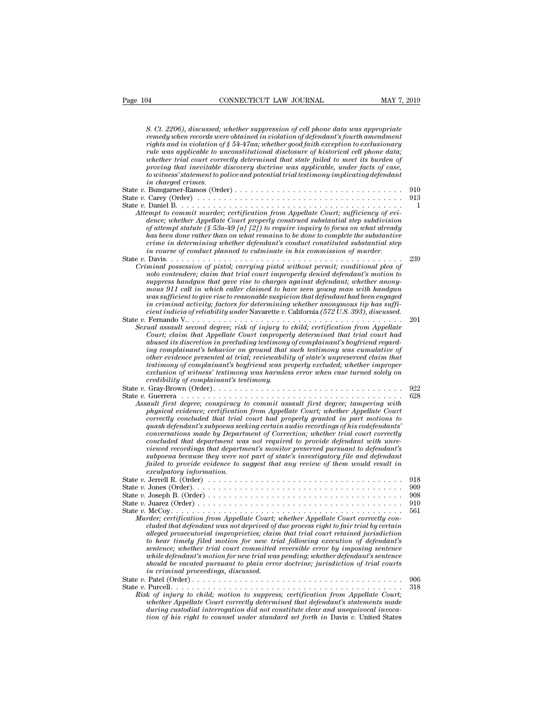| Page 104<br>CONNECTICUT LAW JOURNAL<br>MAY 7, 2019                                                                                                                                                                                                                                                                                                                                                                                                                                                                                                                                                                                                                                                                                                                                    |                                 |
|---------------------------------------------------------------------------------------------------------------------------------------------------------------------------------------------------------------------------------------------------------------------------------------------------------------------------------------------------------------------------------------------------------------------------------------------------------------------------------------------------------------------------------------------------------------------------------------------------------------------------------------------------------------------------------------------------------------------------------------------------------------------------------------|---------------------------------|
| S. Ct. 2206), discussed; whether suppression of cell phone data was appropriate<br>remedy when records were obtained in violation of defendant's fourth amendment<br>rights and in violation of § 54-47aa; whether good faith exception to exclusionary<br>rule was applicable to unconstitutional disclosure of historical cell phone data;<br>whether trial court correctly determined that state failed to meet its burden of<br>proving that inevitable discovery doctrine was applicable, under facts of case,<br>to witness' statement to police and potential trial testimony implicating defendant                                                                                                                                                                            |                                 |
| in charged crimes.<br>Attempt to commit murder; certification from Appellate Court; sufficiency of evi-<br>dence; whether Appellate Court properly construed substantial step subdivision<br>of attempt statute (§ 53a-49 [a] [2]) to require inquiry to focus on what already                                                                                                                                                                                                                                                                                                                                                                                                                                                                                                        | 910<br>913<br>1                 |
| has been done rather than on what remains to be done to complete the substantive<br>crime in determining whether defendant's conduct constituted substantial step<br>in course of conduct planned to culminate in his commission of murder.                                                                                                                                                                                                                                                                                                                                                                                                                                                                                                                                           | 239                             |
| Criminal possession of pistol; carrying pistol without permit; conditional plea of<br>nolo contendere; claim that trial court improperly denied defendant's motion to<br>suppress handgun that gave rise to charges against defendant; whether anony-<br>mous 911 call in which caller claimed to have seen young man with handgun<br>was sufficient to give rise to reasonable suspicion that defendant had been engaged<br>in criminal activity; factors for determining whether anonymous tip has suffi-<br>cient indicia of reliability under Navarette v. California (572 U.S. 393), discussed.                                                                                                                                                                                  |                                 |
| Sexual assault second degree; risk of injury to child; certification from Appellate<br>Court; claim that Appellate Court improperly determined that trial court had<br>abused its discretion in precluding testimony of complainant's boyfriend regard-<br>ing complainant's behavior on ground that such testimony was cumulative of<br>other evidence presented at trial; reviewability of state's unpreserved claim that<br>testimony of complainant's boyfriend was properly excluded; whether improper<br>exclusion of witness' testimony was harmless error when case turned solely on<br>credibility of complainant's testimony.                                                                                                                                               | 201                             |
| Assault first degree; conspiracy to commit assault first degree; tampering with<br>physical evidence; certification from Appellate Court; whether Appellate Court<br>correctly concluded that trial court had properly granted in part motions to<br>quash defendant's subpoena seeking certain audio recordings of his codefendants'<br>conversations made by Department of Correction; whether trial court correctly<br>concluded that department was not required to provide defendant with unre-<br>viewed recordings that department's monitor preserved pursuant to defendant's<br>subpoena because they were not part of state's investigatory file and defendant<br>failed to provide evidence to suggest that any review of them would result in<br>exculpatory information. | 922<br>628                      |
| Murder; certification from Appellate Court; whether Appellate Court correctly con-<br>cluded that defendant was not deprived of due process right to fair trial by certain<br>alleged prosecutorial improprieties; claim that trial court retained jurisdiction<br>to hear timely filed motion for new trial following execution of defendant's<br>sentence; whether trial court committed reversible error by imposing sentence<br>while defendant's motion for new trial was pending; whether defendant's sentence<br>should be vacated pursuant to plain error doctrine; jurisdiction of trial courts<br>in criminal proceedings, discussed.                                                                                                                                       | 918<br>909<br>908<br>910<br>561 |
| Risk of injury to child; motion to suppress; certification from Appellate Court;<br>whether Appellate Court correctly determined that defendant's statements made<br>during custodial interrogation did not constitute clear and unequivocal invoca-<br>tion of his right to counsel under standard set forth in Davis v. United States                                                                                                                                                                                                                                                                                                                                                                                                                                               | 906<br>318                      |